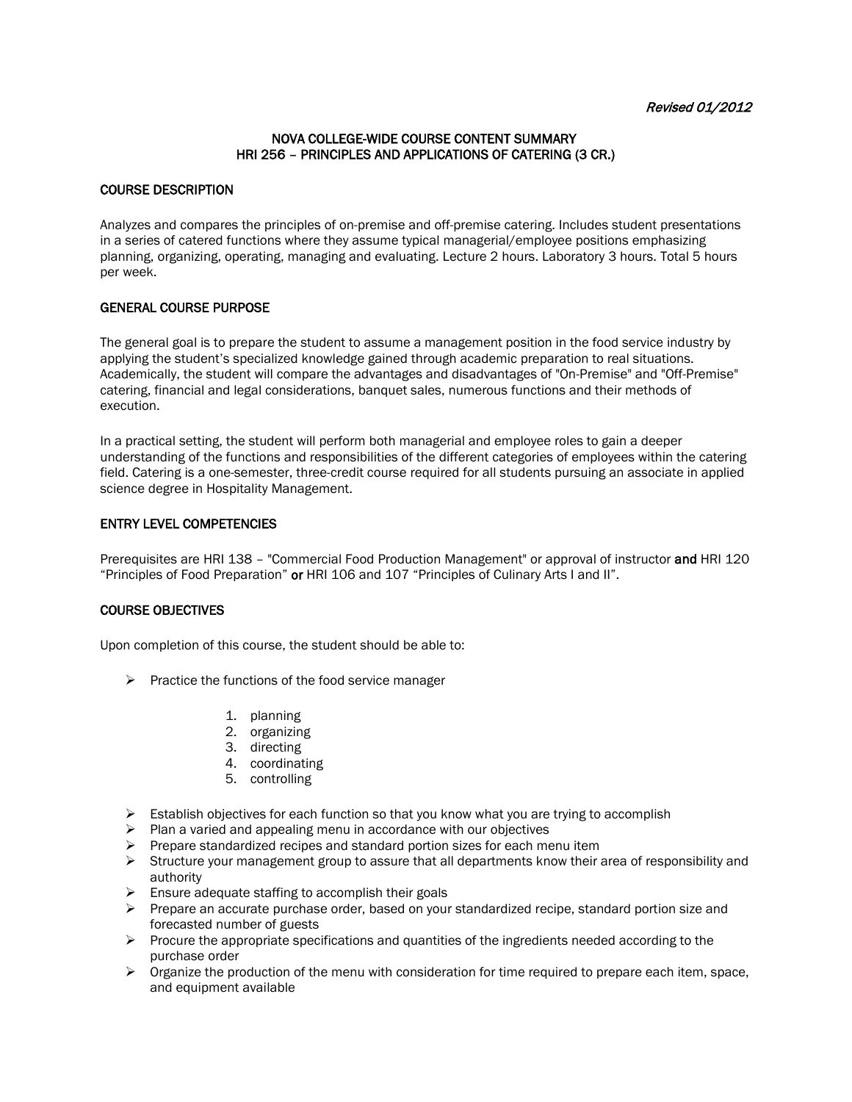## NOVA COLLEGE-WIDE COURSE CONTENT SUMMARY HRI 256 – PRINCIPLES AND APPLICATIONS OF CATERING (3 CR.)

## COURSE DESCRIPTION

Analyzes and compares the principles of on-premise and off-premise catering. Includes student presentations in a series of catered functions where they assume typical managerial/employee positions emphasizing planning, organizing, operating, managing and evaluating. Lecture 2 hours. Laboratory 3 hours. Total 5 hours per week.

## GENERAL COURSE PURPOSE

The general goal is to prepare the student to assume a management position in the food service industry by applying the student's specialized knowledge gained through academic preparation to real situations. Academically, the student will compare the advantages and disadvantages of "On-Premise" and "Off-Premise" catering, financial and legal considerations, banquet sales, numerous functions and their methods of execution.

In a practical setting, the student will perform both managerial and employee roles to gain a deeper understanding of the functions and responsibilities of the different categories of employees within the catering field. Catering is a one-semester, three-credit course required for all students pursuing an associate in applied science degree in Hospitality Management.

#### ENTRY LEVEL COMPETENCIES

Prerequisites are HRI 138 - "Commercial Food Production Management" or approval of instructor and HRI 120 "Principles of Food Preparation" or HRI 106 and 107 "Principles of Culinary Arts I and II".

#### COURSE OBJECTIVES

Upon completion of this course, the student should be able to:

- $\triangleright$  Practice the functions of the food service manager
	- 1. planning
	- 2. organizing
	- 3. directing
	- 4. coordinating
	- 5. controlling
- $\triangleright$  Establish objectives for each function so that you know what you are trying to accomplish
- $\triangleright$  Plan a varied and appealing menu in accordance with our objectives
- $\triangleright$  Prepare standardized recipes and standard portion sizes for each menu item
- $\triangleright$  Structure your management group to assure that all departments know their area of responsibility and authority
- $\triangleright$  Ensure adequate staffing to accomplish their goals
- $\triangleright$  Prepare an accurate purchase order, based on your standardized recipe, standard portion size and forecasted number of guests
- $\triangleright$  Procure the appropriate specifications and quantities of the ingredients needed according to the purchase order
- $\triangleright$  Organize the production of the menu with consideration for time required to prepare each item, space, and equipment available